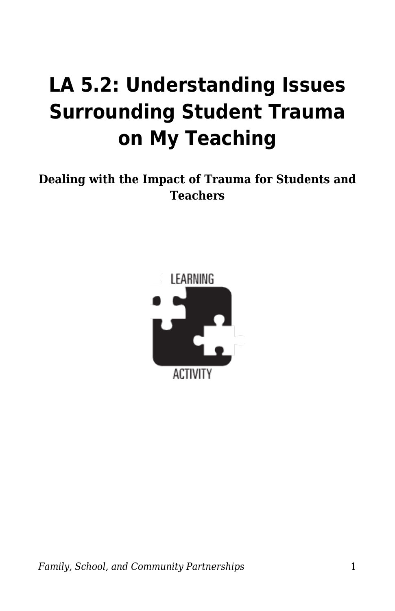## **LA 5.2: Understanding Issues Surrounding Student Trauma on My Teaching**

**Dealing with the Impact of Trauma for Students and Teachers**

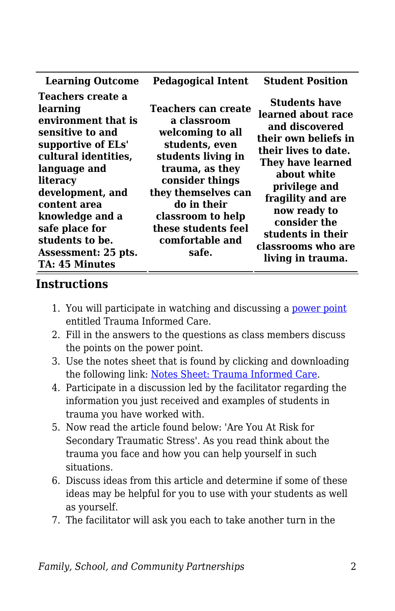| <b>Learning Outcome</b>                                                                                                                                                                                                                                                                 | <b>Pedagogical Intent</b>                                                                                                                                                                                                                          | <b>Student Position</b>                                                                                                                                                                                                                                                                |
|-----------------------------------------------------------------------------------------------------------------------------------------------------------------------------------------------------------------------------------------------------------------------------------------|----------------------------------------------------------------------------------------------------------------------------------------------------------------------------------------------------------------------------------------------------|----------------------------------------------------------------------------------------------------------------------------------------------------------------------------------------------------------------------------------------------------------------------------------------|
| Teachers create a<br>learning<br>environment that is<br>sensitive to and<br>supportive of ELs'<br>cultural identities,<br>language and<br>literacy<br>development, and<br>content area<br>knowledge and a<br>safe place for<br>students to be.<br>Assessment: 25 pts.<br>TA: 45 Minutes | Teachers can create<br>a classroom<br>welcoming to all<br>students, even<br>students living in<br>trauma, as they<br>consider things<br>they themselves can<br>do in their<br>classroom to help<br>these students feel<br>comfortable and<br>safe. | <b>Students have</b><br>learned about race<br>and discovered<br>their own beliefs in<br>their lives to date.<br>They have learned<br>about white<br>privilege and<br>fragility and are<br>now ready to<br>consider the<br>students in their<br>classrooms who are<br>living in trauma. |

## **Instructions**

- 1. You will participate in watching and discussing a [power point](https://byu.box.com/s/zdnyonfpjwjulywg25scwpw4530aaawd) entitled Trauma Informed Care.
- 2. Fill in the answers to the questions as class members discuss the points on the power point.
- 3. Use the notes sheet that is found by clicking and downloading the following link: [Notes Sheet: Trauma Informed Care](https://byu.box.com/s/98mm9i9hfcxqax3pajefm1z99squv6u9).
- 4. Participate in a discussion led by the facilitator regarding the information you just received and examples of students in trauma you have worked with.
- 5. Now read the article found below: 'Are You At Risk for Secondary Traumatic Stress'. As you read think about the trauma you face and how you can help yourself in such situations.
- 6. Discuss ideas from this article and determine if some of these ideas may be helpful for you to use with your students as well as yourself.
- 7. The facilitator will ask you each to take another turn in the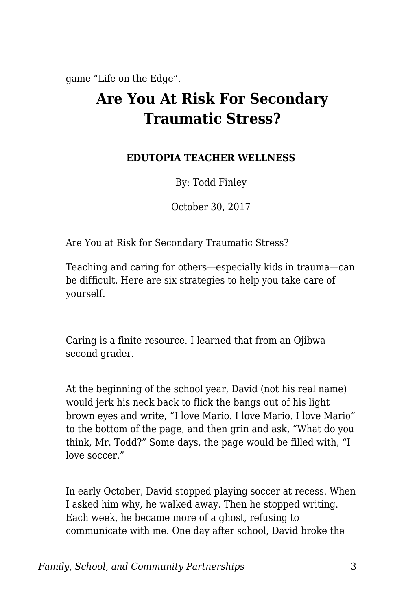game "Life on the Edge".

## **Are You At Risk For Secondary Traumatic Stress?**

## **EDUTOPIA TEACHER WELLNESS**

By: Todd Finley

October 30, 2017

Are You at Risk for Secondary Traumatic Stress?

Teaching and caring for others—especially kids in trauma—can be difficult. Here are six strategies to help you take care of yourself.

Caring is a finite resource. I learned that from an Ojibwa second grader.

At the beginning of the school year, David (not his real name) would jerk his neck back to flick the bangs out of his light brown eyes and write, "I love Mario. I love Mario. I love Mario" to the bottom of the page, and then grin and ask, "What do you think, Mr. Todd?" Some days, the page would be filled with, "I love soccer"

In early October, David stopped playing soccer at recess. When I asked him why, he walked away. Then he stopped writing. Each week, he became more of a ghost, refusing to communicate with me. One day after school, David broke the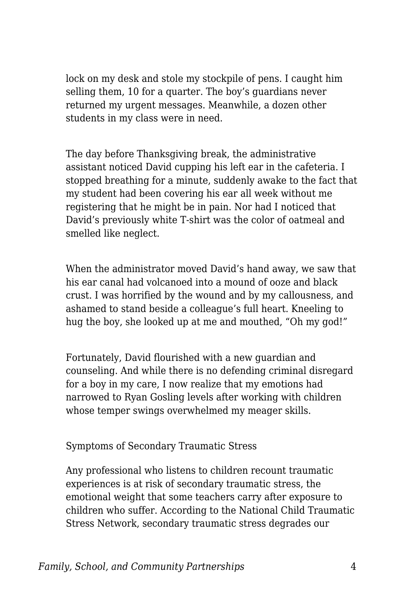lock on my desk and stole my stockpile of pens. I caught him selling them, 10 for a quarter. The boy's guardians never returned my urgent messages. Meanwhile, a dozen other students in my class were in need.

The day before Thanksgiving break, the administrative assistant noticed David cupping his left ear in the cafeteria. I stopped breathing for a minute, suddenly awake to the fact that my student had been covering his ear all week without me registering that he might be in pain. Nor had I noticed that David's previously white T-shirt was the color of oatmeal and smelled like neglect.

When the administrator moved David's hand away, we saw that his ear canal had volcanoed into a mound of ooze and black crust. I was horrified by the wound and by my callousness, and ashamed to stand beside a colleague's full heart. Kneeling to hug the boy, she looked up at me and mouthed, "Oh my god!"

Fortunately, David flourished with a new guardian and counseling. And while there is no defending criminal disregard for a boy in my care, I now realize that my emotions had narrowed to Ryan Gosling levels after working with children whose temper swings overwhelmed my meager skills.

Symptoms of Secondary Traumatic Stress

Any professional who listens to children recount traumatic experiences is at risk of secondary traumatic stress, the emotional weight that some teachers carry after exposure to children who suffer. According to the National Child Traumatic Stress Network, secondary traumatic stress degrades our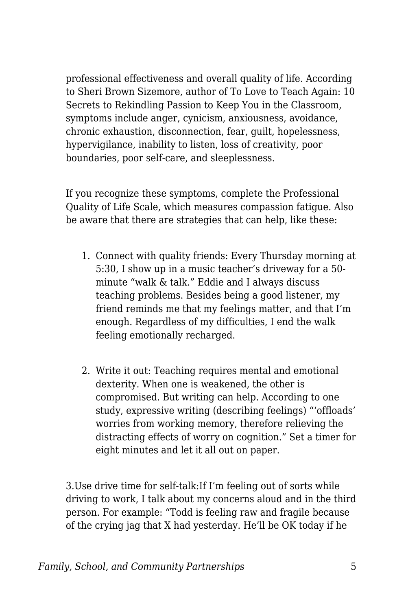professional effectiveness and overall quality of life. According to Sheri Brown Sizemore, author of To Love to Teach Again: 10 Secrets to Rekindling Passion to Keep You in the Classroom, symptoms include anger, cynicism, anxiousness, avoidance, chronic exhaustion, disconnection, fear, guilt, hopelessness, hypervigilance, inability to listen, loss of creativity, poor boundaries, poor self-care, and sleeplessness.

If you recognize these symptoms, complete the Professional Quality of Life Scale, which measures compassion fatigue. Also be aware that there are strategies that can help, like these:

- 1. Connect with quality friends: Every Thursday morning at 5:30, I show up in a music teacher's driveway for a 50 minute "walk & talk." Eddie and I always discuss teaching problems. Besides being a good listener, my friend reminds me that my feelings matter, and that I'm enough. Regardless of my difficulties, I end the walk feeling emotionally recharged.
- 2. Write it out: Teaching requires mental and emotional dexterity. When one is weakened, the other is compromised. But writing can help. According to one study, expressive writing (describing feelings) "'offloads' worries from working memory, therefore relieving the distracting effects of worry on cognition." Set a timer for eight minutes and let it all out on paper.

3.Use drive time for self-talk:If I'm feeling out of sorts while driving to work, I talk about my concerns aloud and in the third person. For example: "Todd is feeling raw and fragile because of the crying jag that X had yesterday. He'll be OK today if he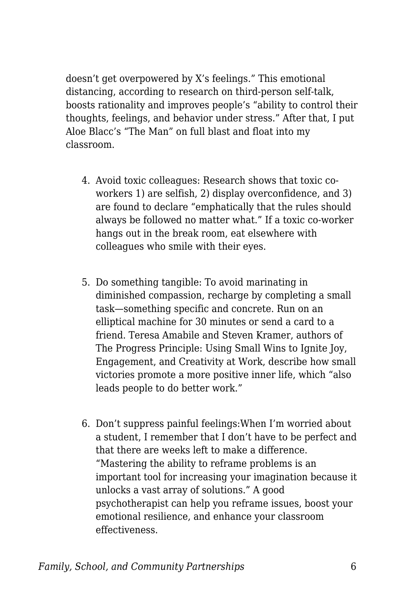doesn't get overpowered by X's feelings." This emotional distancing, according to research on third-person self-talk, boosts rationality and improves people's "ability to control their thoughts, feelings, and behavior under stress." After that, I put Aloe Blacc's "The Man" on full blast and float into my classroom.

- 4. Avoid toxic colleagues: Research shows that toxic coworkers 1) are selfish, 2) display overconfidence, and 3) are found to declare "emphatically that the rules should always be followed no matter what." If a toxic co-worker hangs out in the break room, eat elsewhere with colleagues who smile with their eyes.
- 5. Do something tangible: To avoid marinating in diminished compassion, recharge by completing a small task—something specific and concrete. Run on an elliptical machine for 30 minutes or send a card to a friend. Teresa Amabile and Steven Kramer, authors of The Progress Principle: Using Small Wins to Ignite Joy, Engagement, and Creativity at Work, describe how small victories promote a more positive inner life, which "also leads people to do better work."
- 6. Don't suppress painful feelings:When I'm worried about a student, I remember that I don't have to be perfect and that there are weeks left to make a difference. "Mastering the ability to reframe problems is an important tool for increasing your imagination because it unlocks a vast array of solutions." A good psychotherapist can help you reframe issues, boost your emotional resilience, and enhance your classroom effectiveness.